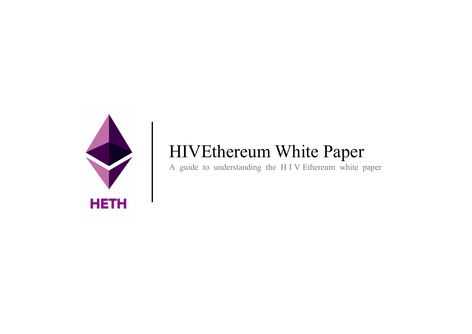

## HIVEthereum White Paper

A guide to understanding the H I V Ethereum white paper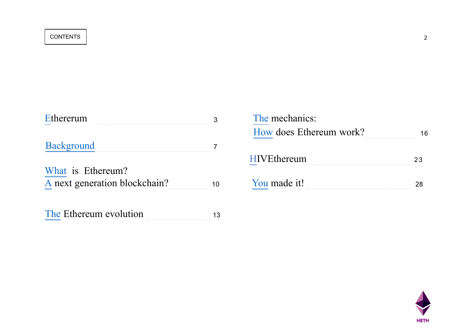| <b>Ethererum</b>              |    | The mechanics:          |  |
|-------------------------------|----|-------------------------|--|
|                               |    | How does Ethereum work? |  |
| <b>Background</b>             |    |                         |  |
|                               |    | <b>HIVEthereum</b>      |  |
| What is Ethereum?             |    |                         |  |
| A next generation blockchain? | 10 | You made it!            |  |
| The Ethereum evolution        |    |                         |  |

| The mechanics:<br>How does Ethereum work? |    |
|-------------------------------------------|----|
| <b>HIVEthereum</b>                        | 23 |
| You made it!                              |    |

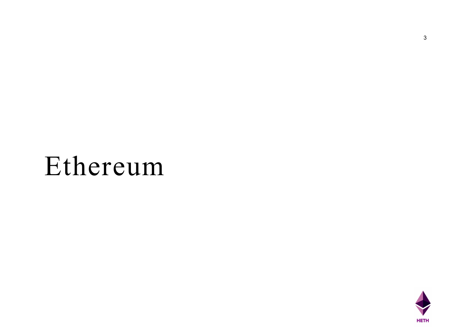## Ethereum

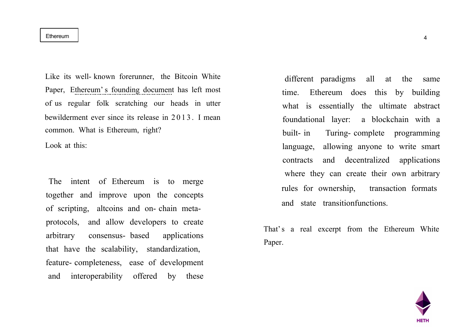#### Ethereum 4

Like its well- known forerunner, the Bitcoin White Paper, Ethereum's founding document has left most of us regular folk scratching our heads in utter bewilderment ever since its release in 2013. I mean common. What is Ethereum, right?

Look at this:

The intent of Ethereum is to merge together and improve upon the concepts of scripting, altcoins and on- chain metaprotocols, and allow developers to create arbitrary consensus- based applications that have the scalability, standardization, feature- completeness, ease of development and interoperability offered by these

different paradigms all at the same time. Ethereum does this by building what is essentially the ultimate abstract foundational layer: a blockchain with a built- in Turing- complete programming language, allowing anyone to write smart contracts and decentralized applications where they can create their own arbitrary rules for ownership, transaction formats and state transitionfunctions.

That's a real excerpt from the Ethereum White Paper.

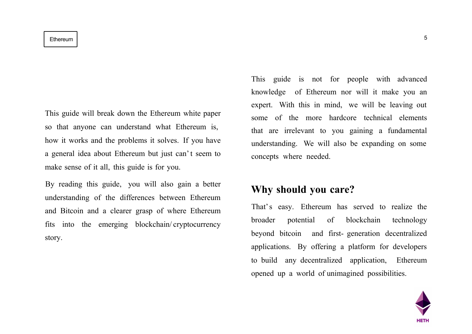#### Ethereum 5

This guide will break down the Ethereum white paper so that anyone can understand what Ethereum is, how it works and the problems it solves. If you have a general idea about Ethereum but just can't seem to make sense of it all, this guide is for you.

By reading this guide, you will also gain a better understanding of the differences between Ethereum and Bitcoin and a clearer grasp of where Ethereum fits into the emerging blockchain/ cryptocurrency story.

This guide is not for people with advanced knowledge of Ethereum nor will it make you an expert. With this in mind, we will be leaving out some of the more hardcore technical elements that are irrelevant to you gaining a fundamental understanding. We will also be expanding on some concepts where needed.

### **Why should you care?**

That's easy. Ethereum has served to realize the broader potential of blockchain technology beyond bitcoin and first- generation decentralized applications. By offering a platform for developers to build any decentralized application, Ethereum opened up a world of unimagined possibilities.

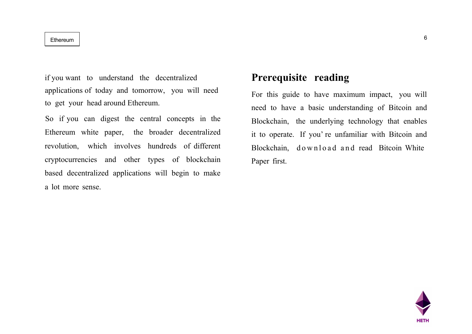Ethereum 2008 and the contract of the contract of the contract of the contract of  $6$ 

if you want to understand the decentralized applications of today and tomorrow, you will need to get your head around Ethereum.

So if you can digest the central concepts in the Ethereum white paper, the broader decentralized revolution, which involves hundreds of different cryptocurrencies and other types of blockchain based decentralized applications will begin to make a lot more sense.

### **Prerequisite reading**

For this guide to have maximum impact, you will need to have a basic understanding of Bitcoin and Blockchain, the underlying technology that enables it to operate. If you' re unfamiliar with Bitcoin and Blockchain, download and read Bitcoin White Paper first.

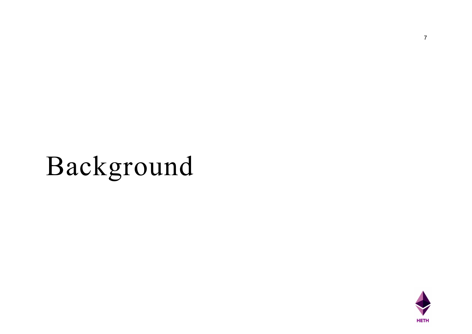## Background

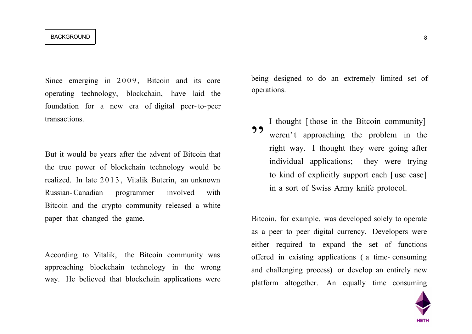#### BACKGROUND

Since emerging in 2009, Bitcoin and its core operating technology, blockchain, have laid the foundation for a new era of digital peer-to-peer transactions.

But it would be years after the advent of Bitcoin that the true power of blockchain technology would be realized. In late 2 0 1 3 , Vitalik Buterin, an unknown Russian-Canadian programmer involved with Bitcoin and the crypto community released a white paper that changed the game.

According to Vitalik, the Bitcoin community was approaching blockchain technology in the wrong way. He believed that blockchain applications were being designed to do an extremely limited set of operations.

I thought [ those in the Bitcoin community] weren't approaching the problem in the right way. I thought they were going after individual applications; they were trying to kind of explicitly support each [ use case] in a sort of Swiss Army knife protocol. 99

Bitcoin, for example, was developed solely to operate as a peer to peer digital currency. Developers were either required to expand the set of functions offered in existing applications ( a time- consuming and challenging process) or develop an entirely new platform altogether. An equally time consuming

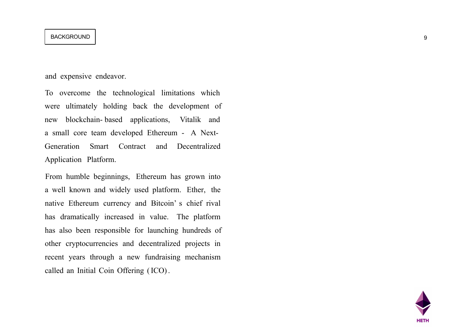#### BACKGROUND POSITION CONTROL CONTROL CONTROL CONTROL CONTROL CONTROL CONTROL CONTROL CONTROL CONTROL CONTROL CONTROL CONTROL CONTROL CONTROL CONTROL CONTROL CONTROL CONTROL CONTROL CONTROL CONTROL CONTROL CONTROL CONTROL CO

and expensive endeavor.

To overcome the technological limitations which were ultimately holding back the development of new blockchain- based applications, Vitalik and a small core team developed Ethereum - A Next-Generation Smart Contract and Decentralized Application Platform.

From humble beginnings, Ethereum has grown into a well known and widely used platform. Ether, the native Ethereum currency and Bitcoin' s chief rival has dramatically increased in value. The platform has also been responsible for launching hundreds of other cryptocurrencies and decentralized projects in recent years through a new fundraising mechanism called an Initial Coin Offering (ICO).

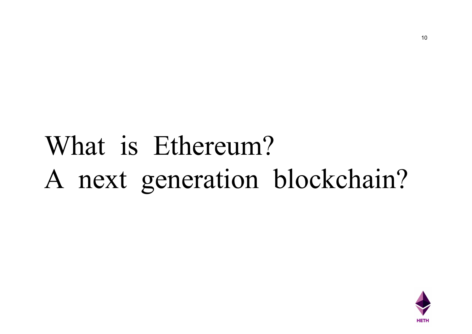## What is Ethereum? A next generation blockchain?

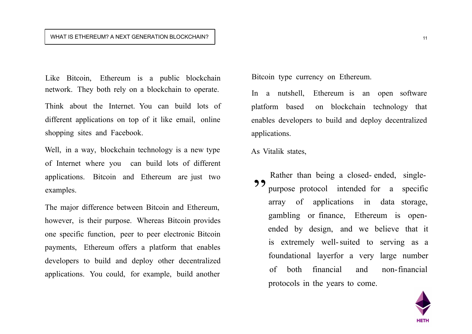#### WHAT IS ETHEREUM? A NEXT GENERATION BLOCKCHAIN?

Like Bitcoin, Ethereum is a public blockchain network. They both rely on a blockchain to operate.

Think about the Internet. You can build lots of different applications on top of it like email, online shopping sites and Facebook.

Well, in a way, blockchain technology is a new type of Internet where you can build lots of different applications. Bitcoin and Ethereum are just two examples.

The major difference between Bitcoin and Ethereum, however, is their purpose. Whereas Bitcoin provides one specific function, peer to peer electronic Bitcoin payments, Ethereum offers a platform that enables developers to build and deploy other decentralized applications. You could, for example, build another

Bitcoin type currency on Ethereum.

In a nutshell, Ethereum is an open software platform based on blockchain technology that enables developers to build and deploy decentralized applications.

As Vitalik states,

Rather than being a closed- ended, singlepurpose protocol intended for a specific array of applications in data storage, gambling or finance, Ethereum is openended by design, and we believe that it is extremely well-suited to serving as a foundational layerfor a very large number of both financial and non-financial protocols in the years to come. 99

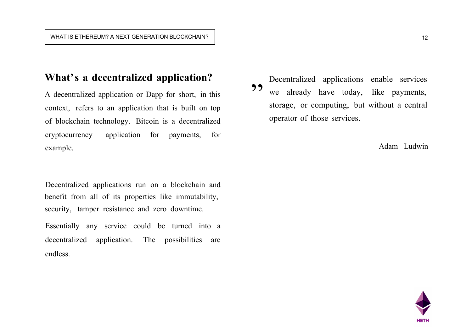## **What's a decentralized application?**

A decentralized application or Dapp for short, in this context, refers to an application that is built on top of blockchain technology. Bitcoin is a decentralized cryptocurrency application for payments, for example.

Decentralized applications run on a blockchain and benefit from all of its properties like immutability, security, tamper resistance and zero downtime.

Essentially any service could be turned into a decentralized application. The possibilities are endless.

Decentralized applications enable services we already have today, like payments, storage, or computing, but without a central operator of those services. 99

Adam Ludwin

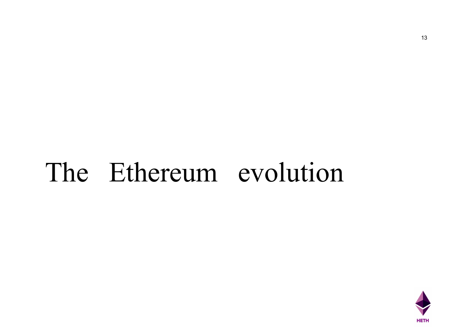## The Ethereum evolution

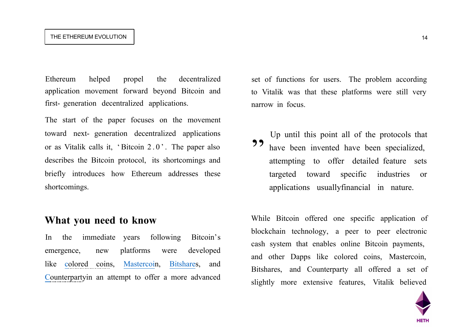#### THE ETHEREUM EVOLUTION

Ethereum helped propel the decentralized application movement forward beyond Bitcoin and first- generation decentralized applications.

The start of the paper focuses on the movement toward next- generation decentralized applications or as Vitalik calls it, 'Bitcoin 2.0'. The paper also describes the Bitcoin protocol, its shortcomings and briefly introduces how Ethereum addresses these shortcomings.

#### **What you need to know**

In the immediate years following Bitcoin's emergence, new platforms were developed like colored coins, Mastercoin, Bitshares, and Counterpartyin an attempt to offer a more advanced

set of functions for users. The problem according to Vitalik was that these platforms were still very narrow in focus.

Up until this point all of the protocols that have been invented have been specialized, attempting to offer detailed feature sets targeted toward specific industries or applications usuallyfinancial in nature. ,,

While Bitcoin offered one specific application of blockchain technology, a peer to peer electronic cash system that enables online Bitcoin payments, and other Dapps like colored coins, Mastercoin, Bitshares, and Counterparty all offered a set of slightly more extensive features, Vitalik believed

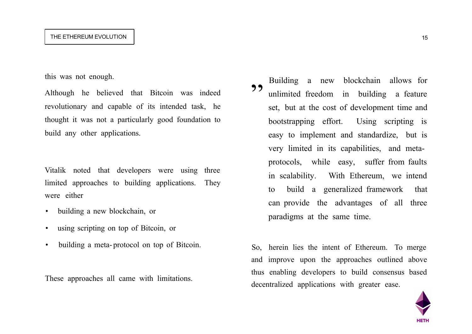#### THE ETHEREUM EVOLUTION

this was not enough.

Although he believed that Bitcoin was indeed revolutionary and capable of its intended task, he thought it was not a particularly good foundation to build any other applications.

Vitalik noted that developers were using three limited approaches to building applications. They were either

- building a new blockchain, or
- using scripting on top of Bitcoin, or
- building a meta- protocol on top of Bitcoin.

These approaches all came with limitations.

Building a new blockchain allows for unlimited freedom in building a feature set, but at the cost of development time and bootstrapping effort. Using scripting is easy to implement and standardize, but is very limited in its capabilities, and metaprotocols, while easy, suffer from faults in scalability. With Ethereum, we intend to build a generalized framework that can provide the advantages of all three paradigms at the same time. 99

So, herein lies the intent of Ethereum. To merge and improve upon the approaches outlined above thus enabling developers to build consensus based decentralized applications with greater ease.

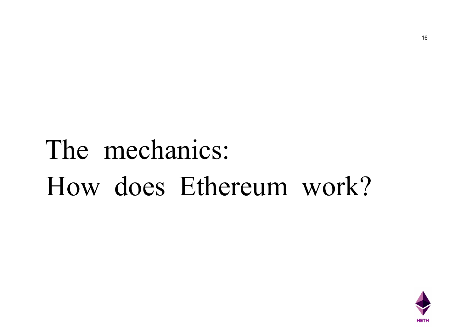## The mechanics: How does Ethereum work?

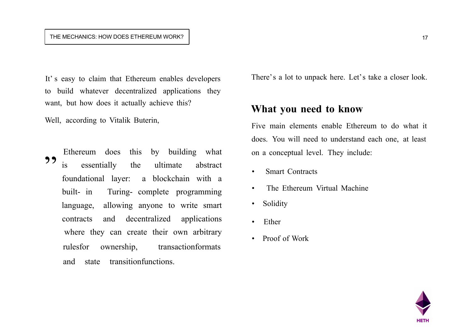#### THE MECHANICS: HOW DOES ETHEREUM WORK?

It's easy to claim that Ethereum enables developers to build whatever decentralized applications they want, but how does it actually achieve this?

Well, according to Vitalik Buterin,

22

Ethereum does this by building what is essentially the ultimate abstract foundational layer: a blockchain with a built- in Turing- complete programming language, allowing anyone to write smart contracts and decentralized applications where they can create their own arbitrary rulesfor ownership, transactionformats and state transitionfunctions.

There's a lot to unpack here. Let's take a closer look.

#### **What you need to know**

Five main elements enable Ethereum to do what it does. You will need to understand each one, at least on a conceptual level. They include:

- Smart Contracts
- The Ethereum Virtual Machine
- Solidity
- Ether
- Proof of Work

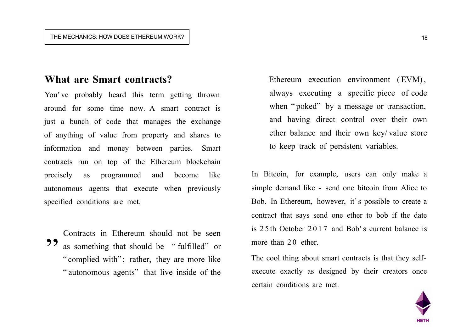### **What are Smart contracts?**

You' ve probably heard this term getting thrown around for some time now. A smart contract is just a bunch of code that manages the exchange of anything of value from property and shares to information and money between parties. Smart contracts run on top of the Ethereum blockchain precisely as programmed and become like autonomous agents that execute when previously specified conditions are met.

Contracts in Ethereum should not be seen as something that should be " fulfilled" or " complied with"; rather, they are more like " autonomous agents" that live inside of the **"** 

Ethereum execution environment (EVM), always executing a specific piece of code when "poked" by a message or transaction, and having direct control over their own ether balance and their own key/ value store to keep track of persistent variables.

In Bitcoin, for example, users can only make a simple demand like - send one bitcoin from Alice to Bob. In Ethereum, however, it's possible to create a contract that says send one ether to bob if the date is 2 5 th October 2 0 1 7 and Bob's current balance is more than 20 ether.

The cool thing about smart contracts is that they selfexecute exactly as designed by their creators once certain conditions are met.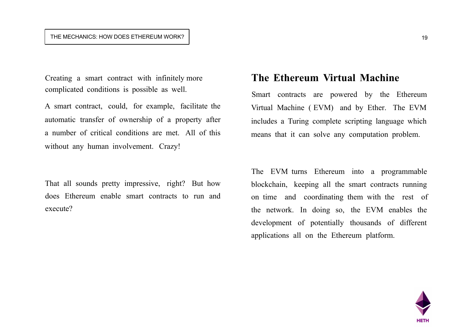#### THE MECHANICS: HOW DOES ETHEREUM WORK?  $\vert$  19

Creating a smart contract with infinitely more complicated conditions is possible as well.

A smart contract, could, for example, facilitate the automatic transfer of ownership of a property after a number of critical conditions are met. All of this without any human involvement. Crazy!

That all sounds pretty impressive, right? But how does Ethereum enable smart contracts to run and execute?

### **The Ethereum Virtual Machine**

Smart contracts are powered by the Ethereum Virtual Machine ( EVM) and by Ether. The EVM includes a Turing complete scripting language which means that it can solve any computation problem.

The EVM turns Ethereum into a programmable blockchain, keeping all the smart contracts running on time and coordinating them with the rest of the network. In doing so, the EVM enables the development of potentially thousands of different applications all on the Ethereum platform.

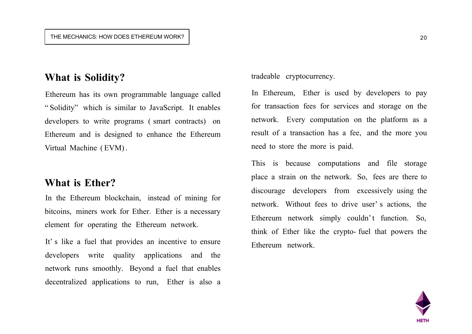## **What is Solidity?**

Ethereum has its own programmable language called " Solidity" which is similar to JavaScript. It enables developers to write programs ( smart contracts) on Ethereum and is designed to enhance the Ethereum Virtual Machine ( EVM).

### **What is Ether?**

In the Ethereum blockchain, instead of mining for bitcoins, miners work for Ether. Ether is a necessary element for operating the Ethereum network.

It's like a fuel that provides an incentive to ensure developers write quality applications and the network runs smoothly. Beyond a fuel that enables decentralized applications to run, Ether is also a tradeable cryptocurrency.

In Ethereum, Ether is used by developers to pay for transaction fees for services and storage on the network. Every computation on the platform as a result of a transaction has a fee, and the more you need to store the more is paid.

This is because computations and file storage place a strain on the network. So, fees are there to discourage developers from excessively using the network. Without fees to drive user' s actions, the Ethereum network simply couldn't function. So, think of Ether like the crypto- fuel that powers the Ethereum network.

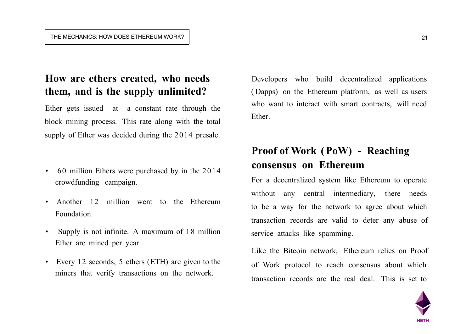## **How are ethers created, who needs them, and is the supply unlimited?**

Ether gets issued at a constant rate through the block mining process. This rate along with the total supply of Ether was decided during the 2014 presale.

- 60 million Ethers were purchased by in the 2014 crowdfunding campaign.
- Another 12 million went to the Ethereum Foundation.
- Supply is not infinite. A maximum of 1 8 million Ether are mined per year.
- Every 12 seconds, 5 ethers (ETH) are given to the miners that verify transactions on the network.

Developers who build decentralized applications ( Dapps) on the Ethereum platform, as well as users who want to interact with smart contracts, will need Ether.

## **Proof of Work (PoW) - Reaching consensus on Ethereum**

For a decentralized system like Ethereum to operate without any central intermediary, there needs to be a way for the network to agree about which transaction records are valid to deter any abuse of service attacks like spamming.

Like the Bitcoin network, Ethereum relies on Proof of Work protocol to reach consensus about which transaction records are the real deal. This is set to

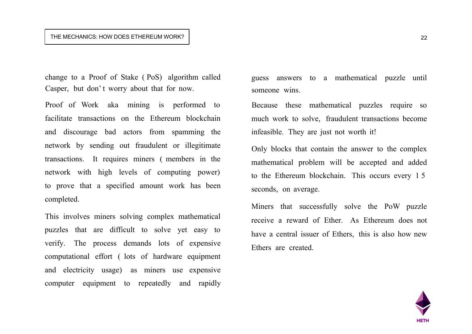#### THE MECHANICS: HOW DOES ETHEREUM WORK? 22

change to a Proof of Stake ( PoS) algorithm called Casper, but don' t worry about that for now.

Proof of Work aka mining is performed to facilitate transactions on the Ethereum blockchain and discourage bad actors from spamming the network by sending out fraudulent or illegitimate transactions. It requires miners ( members in the network with high levels of computing power) to prove that a specified amount work has been completed.

This involves miners solving complex mathematical puzzles that are difficult to solve yet easy to verify. The process demands lots of expensive computational effort ( lots of hardware equipment and electricity usage) as miners use expensive computer equipment to repeatedly and rapidly

guess answers to a mathematical puzzle until someone wins.

Because these mathematical puzzles require so much work to solve, fraudulent transactions become infeasible. They are just not worth it!

Only blocks that contain the answer to the complex mathematical problem will be accepted and added to the Ethereum blockchain. This occurs every 1 5 seconds, on average.

Miners that successfully solve the PoW puzzle receive a reward of Ether. As Ethereum does not have a central issuer of Ethers, this is also how new Ethers are created.

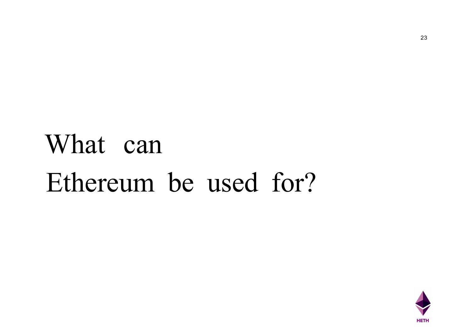# What can Ethereum be used for?

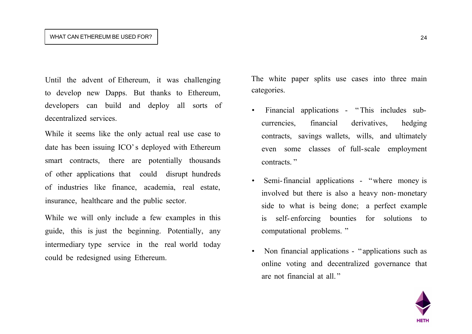#### WHAT CAN ETHEREUM BE USED FOR?  $\vert$  24

Until the advent of Ethereum, it was challenging to develop new Dapps. But thanks to Ethereum, developers can build and deploy all sorts of decentralized services.

While it seems like the only actual real use case to date has been issuing ICO's deployed with Ethereum smart contracts, there are potentially thousands of other applications that could disrupt hundreds of industries like finance, academia, real estate, insurance, healthcare and the public sector.

While we will only include a few examples in this guide, this is just the beginning. Potentially, any intermediary type service in the real world today could be redesigned using Ethereum.

The white paper splits use cases into three main categories.

- Financial applications " This includes subcurrencies, financial derivatives, hedging contracts, savings wallets, wills, and ultimately even some classes of full-scale employment contracts."
- Semi-financial applications "where money is involved but there is also a heavy non- monetary side to what is being done; a perfect example is self- enforcing bounties for solutions to computational problems. "
- Non financial applications "applications such as online voting and decentralized governance that are not financial at all. "

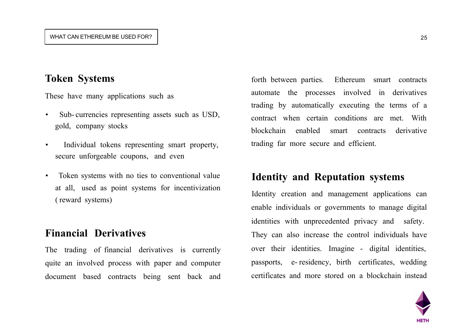## **Token Systems**

These have many applications such as

- Sub- currencies representing assets such as USD, gold, company stocks
- Individual tokens representing smart property, secure unforgeable coupons, and even
- Token systems with no ties to conventional value at all, used as point systems for incentivization ( reward systems)

## **Financial Derivatives**

The trading of financial derivatives is currently quite an involved process with paper and computer document based contracts being sent back and

forth between parties. Ethereum smart contracts automate the processes involved in derivatives trading by automatically executing the terms of a contract when certain conditions are met. With blockchain enabled smart contracts derivative trading far more secure and efficient.

## **Identity and Reputation systems**

Identity creation and management applications can enable individuals or governments to manage digital identities with unprecedented privacy and safety. They can also increase the control individuals have over their identities. Imagine - digital identities, passports, e- residency, birth certificates, wedding certificates and more stored on a blockchain instead

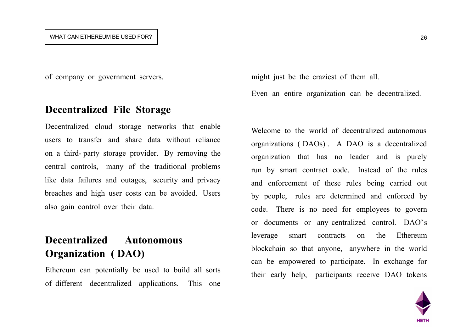#### WHAT CAN ETHEREUM BE USED FOR?  $\vert$  26

of company or government servers.

#### **Decentralized File Storage**

Decentralized cloud storage networks that enable users to transfer and share data without reliance on a third- party storage provider. By removing the central controls, many of the traditional problems like data failures and outages, security and privacy breaches and high user costs can be avoided. Users also gain control over their data.

## **Decentralized Autonomous Organization ( DAO)**

Ethereum can potentially be used to build all sorts of different decentralized applications. This one

might just be the craziest of them all.

Even an entire organization can be decentralized.

Welcome to the world of decentralized autonomous organizations ( DAOs) . A DAO is a decentralized organization that has no leader and is purely run by smart contract code. Instead of the rules and enforcement of these rules being carried out by people, rules are determined and enforced by code. There is no need for employees to govern or documents or any centralized control. DAO's leverage smart contracts on the Ethereum blockchain so that anyone, anywhere in the world can be empowered to participate. In exchange for their early help, participants receive DAO tokens

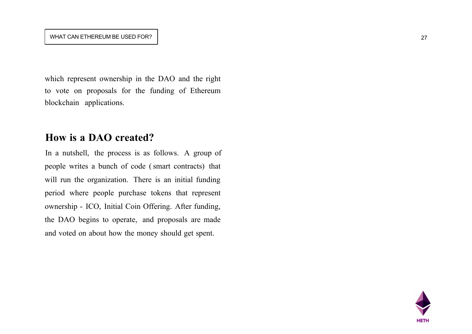#### WHAT CAN ETHEREUM BE USED FOR?  $\vert$  27

which represent ownership in the DAO and the right to vote on proposals for the funding of Ethereum blockchain applications.

### **How is a DAO created?**

In a nutshell, the process is as follows. A group of people writes a bunch of code (smart contracts) that will run the organization. There is an initial funding period where people purchase tokens that represent ownership - ICO, Initial Coin Offering. After funding, the DAO begins to operate, and proposals are made and voted on about how the money should get spent.

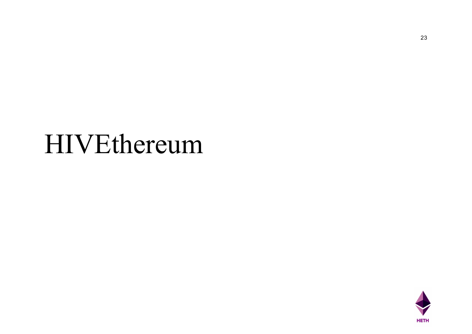## HIVEthereum

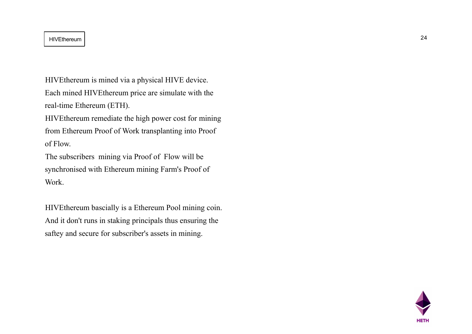#### HIVEthereum 24

HIVEthereum is mined via a physical HIVE device. Each mined HIVEthereum price are simulate with the

real-time Ethereum (ETH).

HIVEthereum remediate the high power cost for mining from Ethereum Proof of Work transplanting into Proof of Flow.

The subscribers mining via Proof of Flow will be synchronised with Ethereum mining Farm's Proof of Work.

HIVEthereum bascially is a Ethereum Pool mining coin. And it don't runs in staking principals thus ensuring the saftey and secure for subscriber's assets in mining.



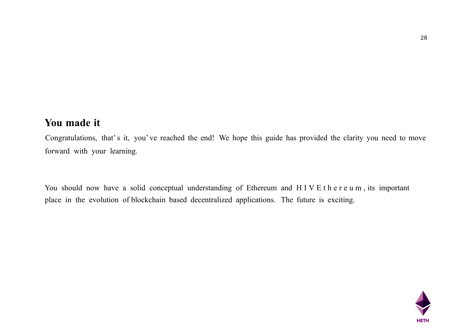## **You made it**

Congratulations, that's it, you' ve reached the end! We hope this guide has provided the clarity you need to move forward with your learning.

You should now have a solid conceptual understanding of Ethereum and HIVE thereum, its important place in the evolution of blockchain based decentralized applications. The future is exciting.